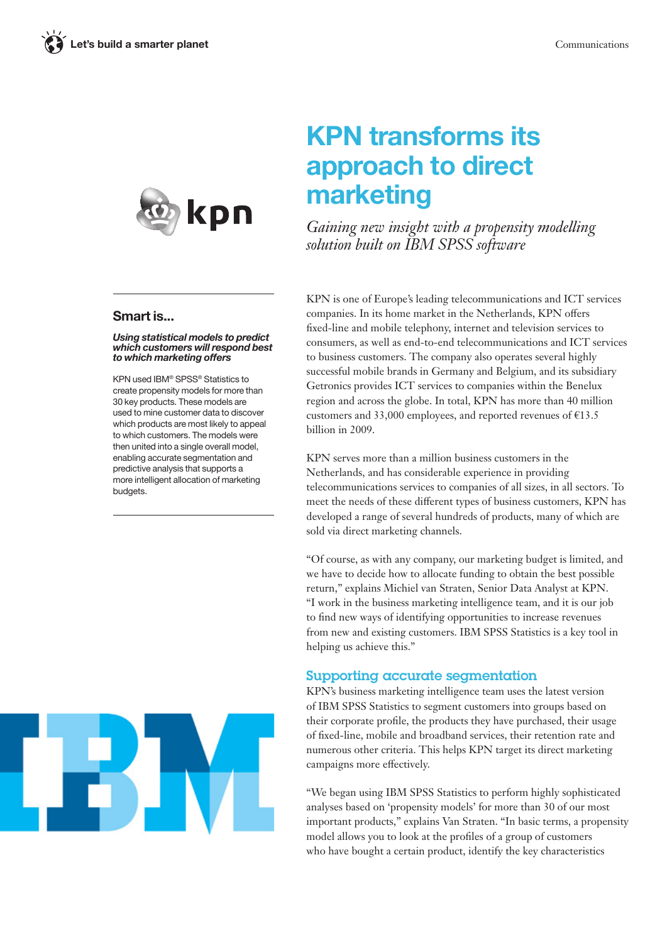

### Smart is...

### *Using statistical models to predict which customers will respond best to which marketing offers*

KPN used IBM® SPSS® Statistics to create propensity models for more than 30 key products. These models are used to mine customer data to discover which products are most likely to appeal to which customers. The models were then united into a single overall model, enabling accurate segmentation and predictive analysis that supports a more intelligent allocation of marketing budgets.



# KPN transforms its approach to direct marketing

*Gaining new insight with a propensity modelling solution built on IBM SPSS software*

KPN is one of Europe's leading telecommunications and ICT services companies. In its home market in the Netherlands, KPN offers fixed-line and mobile telephony, internet and television services to consumers, as well as end-to-end telecommunications and ICT services to business customers. The company also operates several highly successful mobile brands in Germany and Belgium, and its subsidiary Getronics provides ICT services to companies within the Benelux region and across the globe. In total, KPN has more than 40 million customers and 33,000 employees, and reported revenues of  $£13.5$ billion in 2009.

KPN serves more than a million business customers in the Netherlands, and has considerable experience in providing telecommunications services to companies of all sizes, in all sectors. To meet the needs of these different types of business customers, KPN has developed a range of several hundreds of products, many of which are sold via direct marketing channels.

"Of course, as with any company, our marketing budget is limited, and we have to decide how to allocate funding to obtain the best possible return," explains Michiel van Straten, Senior Data Analyst at KPN. "I work in the business marketing intelligence team, and it is our job to find new ways of identifying opportunities to increase revenues from new and existing customers. IBM SPSS Statistics is a key tool in helping us achieve this."

### Supporting accurate segmentation

KPN's business marketing intelligence team uses the latest version of IBM SPSS Statistics to segment customers into groups based on their corporate profile, the products they have purchased, their usage of fixed-line, mobile and broadband services, their retention rate and numerous other criteria. This helps KPN target its direct marketing campaigns more effectively.

"We began using IBM SPSS Statistics to perform highly sophisticated analyses based on 'propensity models' for more than 30 of our most important products," explains Van Straten. "In basic terms, a propensity model allows you to look at the profiles of a group of customers who have bought a certain product, identify the key characteristics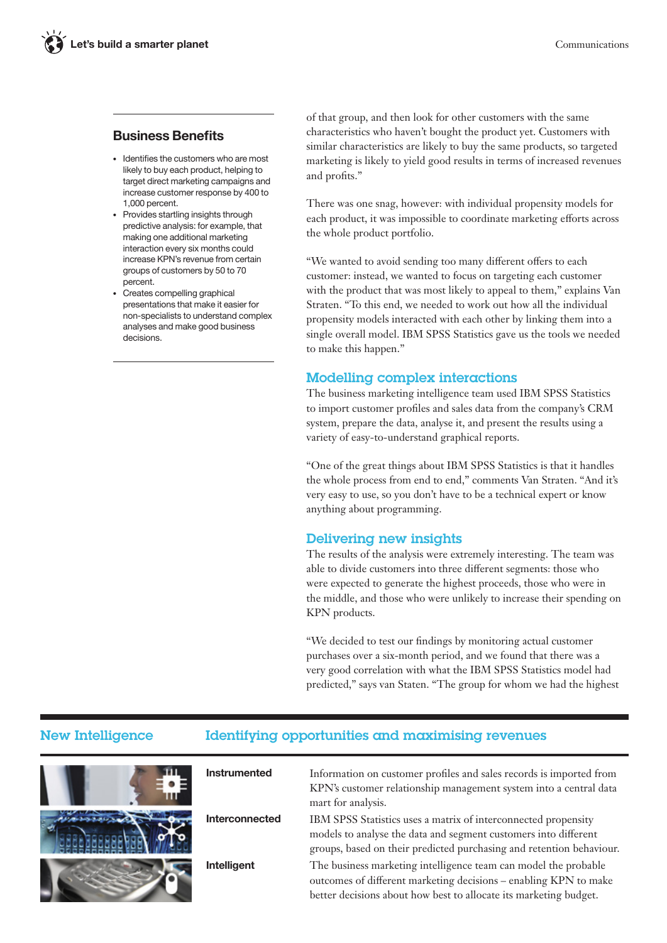### Business Benefits

- • Identifies the customers who are most likely to buy each product, helping to target direct marketing campaigns and increase customer response by 400 to 1,000 percent.
- • Provides startling insights through predictive analysis: for example, that making one additional marketing interaction every six months could increase KPN's revenue from certain groups of customers by 50 to 70 percent.
- • Creates compelling graphical presentations that make it easier for non-specialists to understand complex analyses and make good business decisions.

of that group, and then look for other customers with the same characteristics who haven't bought the product yet. Customers with similar characteristics are likely to buy the same products, so targeted marketing is likely to yield good results in terms of increased revenues and profits."

There was one snag, however: with individual propensity models for each product, it was impossible to coordinate marketing efforts across the whole product portfolio.

"We wanted to avoid sending too many different offers to each customer: instead, we wanted to focus on targeting each customer with the product that was most likely to appeal to them," explains Van Straten. "To this end, we needed to work out how all the individual propensity models interacted with each other by linking them into a single overall model. IBM SPSS Statistics gave us the tools we needed to make this happen."

### Modelling complex interactions

The business marketing intelligence team used IBM SPSS Statistics to import customer profiles and sales data from the company's CRM system, prepare the data, analyse it, and present the results using a variety of easy-to-understand graphical reports.

"One of the great things about IBM SPSS Statistics is that it handles the whole process from end to end," comments Van Straten. "And it's very easy to use, so you don't have to be a technical expert or know anything about programming.

### Delivering new insights

The results of the analysis were extremely interesting. The team was able to divide customers into three different segments: those who were expected to generate the highest proceeds, those who were in the middle, and those who were unlikely to increase their spending on KPN products.

"We decided to test our findings by monitoring actual customer purchases over a six-month period, and we found that there was a very good correlation with what the IBM SPSS Statistics model had predicted," says van Staten. "The group for whom we had the highest

### New Intelligence Identifying opportunities and maximising revenues

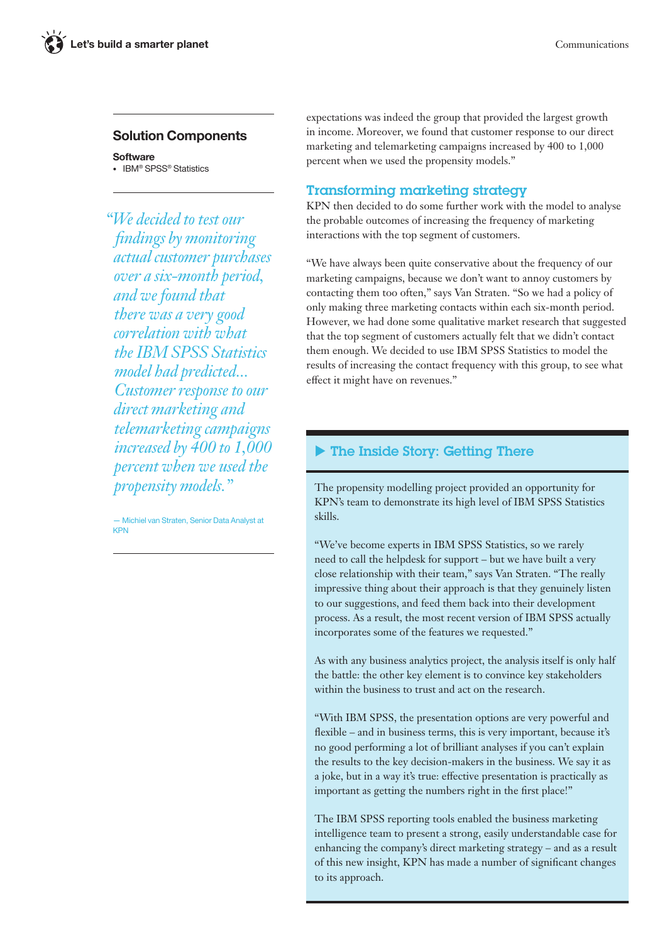### Solution Components

**Software** • IBM® SPSS® Statistics

*"We decided to test our findings by monitoring actual customer purchases over a six-month period, and we found that there was a very good correlation with what the IBM SPSS Statistics model had predicted... Customer response to our direct marketing and telemarketing campaigns increased by 400 to 1,000 percent when we used the propensity models."*

— Michiel van Straten, Senior Data Analyst at KPN

expectations was indeed the group that provided the largest growth in income. Moreover, we found that customer response to our direct marketing and telemarketing campaigns increased by 400 to 1,000 percent when we used the propensity models."

### Transforming marketing strategy

KPN then decided to do some further work with the model to analyse the probable outcomes of increasing the frequency of marketing interactions with the top segment of customers.

"We have always been quite conservative about the frequency of our marketing campaigns, because we don't want to annoy customers by contacting them too often," says Van Straten. "So we had a policy of only making three marketing contacts within each six-month period. However, we had done some qualitative market research that suggested that the top segment of customers actually felt that we didn't contact them enough. We decided to use IBM SPSS Statistics to model the results of increasing the contact frequency with this group, to see what effect it might have on revenues."

## The Inside Story: Getting There

The propensity modelling project provided an opportunity for KPN's team to demonstrate its high level of IBM SPSS Statistics skills.

"We've become experts in IBM SPSS Statistics, so we rarely need to call the helpdesk for support – but we have built a very close relationship with their team," says Van Straten. "The really impressive thing about their approach is that they genuinely listen to our suggestions, and feed them back into their development process. As a result, the most recent version of IBM SPSS actually incorporates some of the features we requested."

As with any business analytics project, the analysis itself is only half the battle: the other key element is to convince key stakeholders within the business to trust and act on the research.

"With IBM SPSS, the presentation options are very powerful and flexible – and in business terms, this is very important, because it's no good performing a lot of brilliant analyses if you can't explain the results to the key decision-makers in the business. We say it as a joke, but in a way it's true: effective presentation is practically as important as getting the numbers right in the first place!"

The IBM SPSS reporting tools enabled the business marketing intelligence team to present a strong, easily understandable case for enhancing the company's direct marketing strategy – and as a result of this new insight, KPN has made a number of significant changes to its approach.